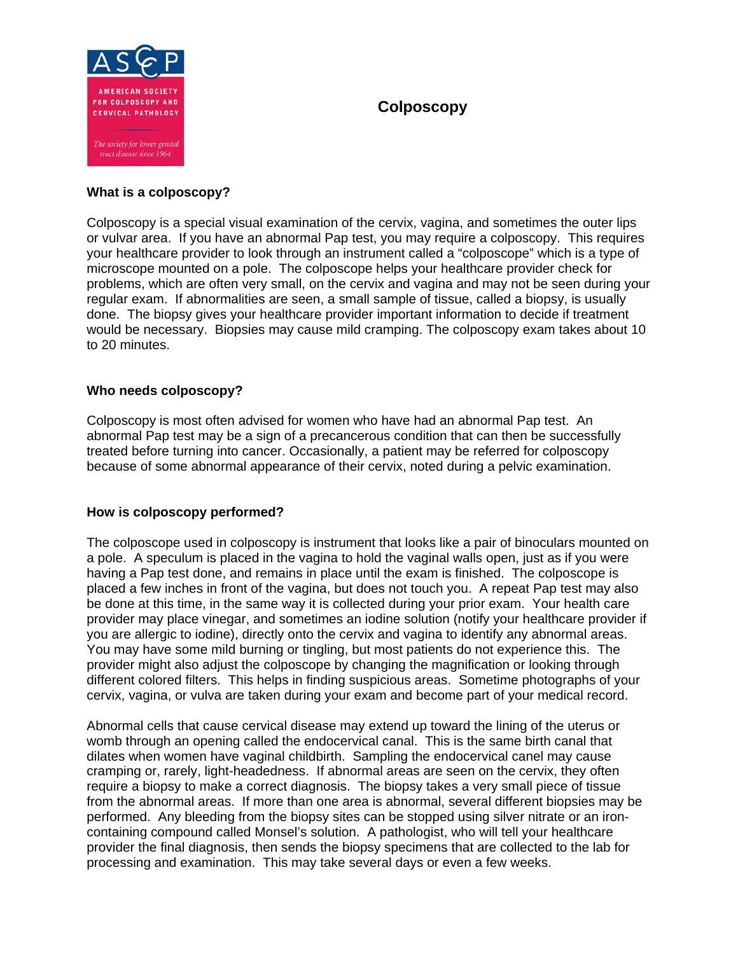

# **Colposcopy**

## **What is a colposcopy?**

Colposcopy is a special visual examination of the cervix, vagina, and sometimes the outer lips or vulvar area. If you have an abnormal Pap test, you may require a colposcopy. This requires your healthcare provider to look through an instrument called a "colposcope" which is a type of microscope mounted on a pole. The colposcope helps your healthcare provider check for problems, which are often very small, on the cervix and vagina and may not be seen during your regular exam. If abnormalities are seen, a small sample of tissue, called a biopsy, is usually done. The biopsy gives your healthcare provider important information to decide if treatment would be necessary. Biopsies may cause mild cramping. The colposcopy exam takes about 10 to 20 minutes.

## **Who needs colposcopy?**

Colposcopy is most often advised for women who have had an abnormal Pap test. An abnormal Pap test may be a sign of a precancerous condition that can then be successfully treated before turning into cancer. Occasionally, a patient may be referred for colposcopy because of some abnormal appearance of their cervix, noted during a pelvic examination.

## **How is colposcopy performed?**

The colposcope used in colposcopy is instrument that looks like a pair of binoculars mounted on a pole. A speculum is placed in the vagina to hold the vaginal walls open, just as if you were having a Pap test done, and remains in place until the exam is finished. The colposcope is placed a few inches in front of the vagina, but does not touch you. A repeat Pap test may also be done at this time, in the same way it is collected during your prior exam. Your health care provider may place vinegar, and sometimes an iodine solution (notify your healthcare provider if you are allergic to iodine), directly onto the cervix and vagina to identify any abnormal areas. You may have some mild burning or tingling, but most patients do not experience this. The provider might also adjust the colposcope by changing the magnification or looking through different colored filters. This helps in finding suspicious areas. Sometime photographs of your cervix, vagina, or vulva are taken during your exam and become part of your medical record.

Abnormal cells that cause cervical disease may extend up toward the lining of the uterus or womb through an opening called the endocervical canal. This is the same birth canal that dilates when women have vaginal childbirth. Sampling the endocervical canel may cause cramping or, rarely, light-headedness. If abnormal areas are seen on the cervix, they often require a biopsy to make a correct diagnosis. The biopsy takes a very small piece of tissue from the abnormal areas. If more than one area is abnormal, several different biopsies may be performed. Any bleeding from the biopsy sites can be stopped using silver nitrate or an ironcontaining compound called Monsel's solution. A pathologist, who will tell your healthcare provider the final diagnosis, then sends the biopsy specimens that are collected to the lab for processing and examination. This may take several days or even a few weeks.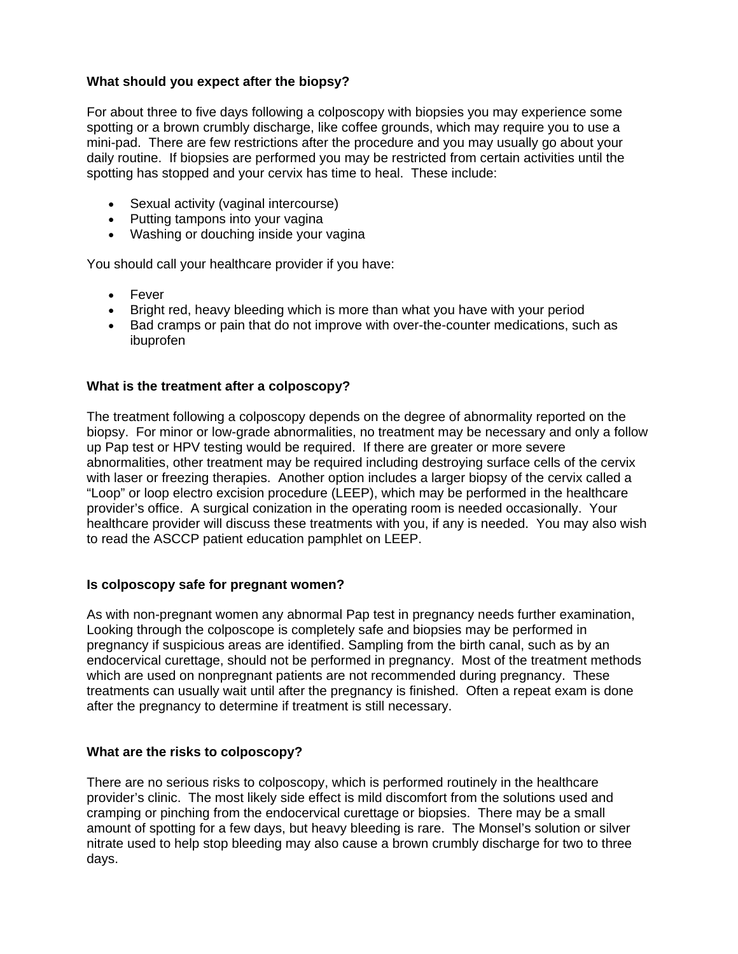## **What should you expect after the biopsy?**

For about three to five days following a colposcopy with biopsies you may experience some spotting or a brown crumbly discharge, like coffee grounds, which may require you to use a mini-pad. There are few restrictions after the procedure and you may usually go about your daily routine. If biopsies are performed you may be restricted from certain activities until the spotting has stopped and your cervix has time to heal. These include:

- Sexual activity (vaginal intercourse)
- Putting tampons into your vagina
- Washing or douching inside your vagina

You should call your healthcare provider if you have:

- Fever
- Bright red, heavy bleeding which is more than what you have with your period
- Bad cramps or pain that do not improve with over-the-counter medications, such as ibuprofen

## **What is the treatment after a colposcopy?**

The treatment following a colposcopy depends on the degree of abnormality reported on the biopsy. For minor or low-grade abnormalities, no treatment may be necessary and only a follow up Pap test or HPV testing would be required. If there are greater or more severe abnormalities, other treatment may be required including destroying surface cells of the cervix with laser or freezing therapies. Another option includes a larger biopsy of the cervix called a "Loop" or loop electro excision procedure (LEEP), which may be performed in the healthcare provider's office. A surgical conization in the operating room is needed occasionally. Your healthcare provider will discuss these treatments with you, if any is needed. You may also wish to read the ASCCP patient education pamphlet on LEEP.

## **Is colposcopy safe for pregnant women?**

As with non-pregnant women any abnormal Pap test in pregnancy needs further examination, Looking through the colposcope is completely safe and biopsies may be performed in pregnancy if suspicious areas are identified. Sampling from the birth canal, such as by an endocervical curettage, should not be performed in pregnancy. Most of the treatment methods which are used on nonpregnant patients are not recommended during pregnancy. These treatments can usually wait until after the pregnancy is finished. Often a repeat exam is done after the pregnancy to determine if treatment is still necessary.

## **What are the risks to colposcopy?**

There are no serious risks to colposcopy, which is performed routinely in the healthcare provider's clinic. The most likely side effect is mild discomfort from the solutions used and cramping or pinching from the endocervical curettage or biopsies. There may be a small amount of spotting for a few days, but heavy bleeding is rare. The Monsel's solution or silver nitrate used to help stop bleeding may also cause a brown crumbly discharge for two to three days.